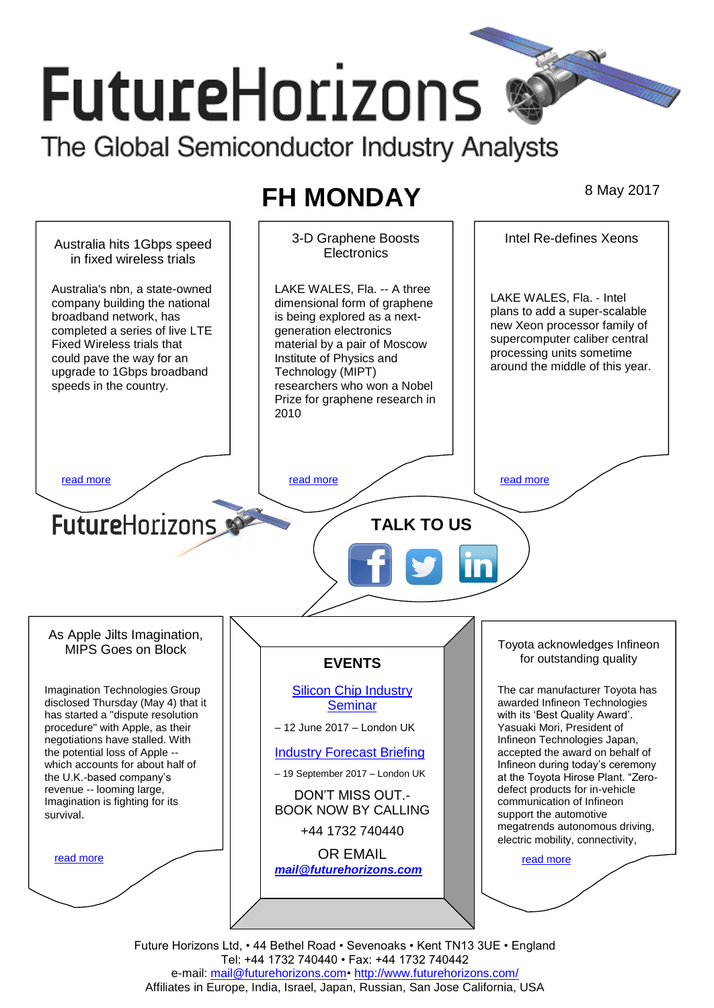# **FutureHorizons** The Global Semiconductor Industry Analysts

## **FH MONDAY** 8 May 2017

3-D Graphene Boosts Intel Re-defines Xeons Australia hits 1Gbps speed **Electronics** in fixed wireless trials LAKE WALES, Fla. -- A three Australia's nbn, a state-owned LAKE WALES, Fla. ‐ Intel company building the national dimensional form of graphene plans to add a super-scalable broadband network, has is being explored as a nextnew Xeon processor family of completed a series of live LTE generation electronics supercomputer caliber central Fixed Wireless trials that material by a pair of Moscow processing units sometime could pave the way for an Institute of Physics and around the middle of this year. upgrade to 1Gbps broadband Technology (MIPT) speeds in the country. researchers who won a Nobel Prize for graphene research in 2010 [read more](#page-1-1) that the second contract the second contract of the read more that the read more that the read more **Future**Horizons **TALK TO US** As Apple Jilts Imagination, Toyota acknowledges Infineon MIPS Goes on Block for outstanding quality **EVENTS** Imagination Technologies Group [Silicon Chip Industry](http://www.futurehorizons.com/page/12/silicon-chip-training)  The car manufacturer Toyota has disclosed Thursday (May 4) that it awarded Infineon Technologies **[Seminar](http://www.futurehorizons.com/page/12/silicon-chip-training)** has started a "dispute resolution with its 'Best Quality Award'. procedure" with Apple, as their – 12 June 2017 – London UK Yasuaki Mori, President of negotiations have stalled. With Infineon Technologies Japan, the potential loss of Apple -- [Industry Forecast Briefing](http://www.futurehorizons.com/page/13/Semiconductor-Market-Forecast-Seminar) accepted the award on behalf of which accounts for about half of Infineon during today's ceremony – 19 September 2017 – London UK the U.K.-based company's at the Toyota Hirose Plant. "Zerorevenue -- looming large, defect products for in-vehicle DON'T MISS OUT.- Imagination is fighting for its communication of Infineon BOOK NOW BY CALLING support the automotive survival.megatrends autonomous driving, +44 1732 740440 electric mobility, connectivity, OR EMAIL [read more](#page-1-4) [read more](#page-1-3) *[mail@futurehorizons.com](mailto:mail@futurehorizons.com)*

> Future Horizons Ltd, • 44 Bethel Road • Sevenoaks • Kent TN13 3UE • England Tel: +44 1732 740440 • Fax: +44 1732 740442 e-mail: mail@futurehorizons.com• http://www.futurehorizons.com/ Affiliates in Europe, India, Israel, Japan, Russian, San Jose California, USA